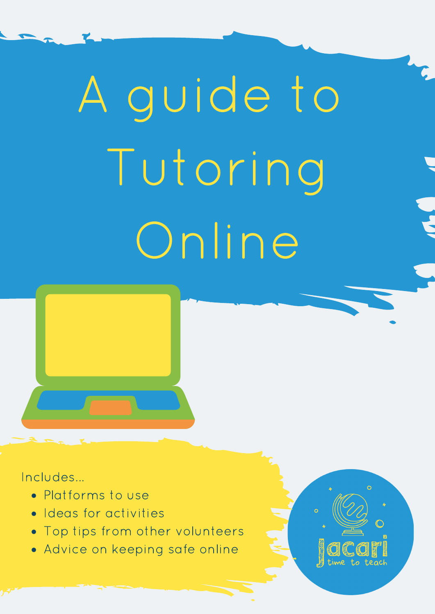# A guide to Tutoring Online



### Includes...

- Platforms to use
- **Ideas for activities**
- Top tips from other volunteers
- Advice on keeping safe online

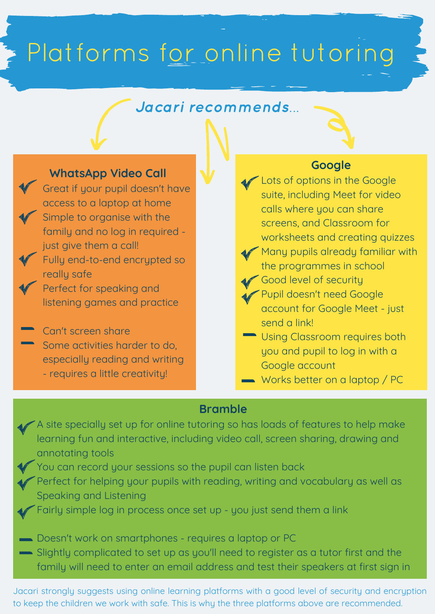## Platforms for online tutoring

### Jacari recommends...

### **WhatsApp Video Call**

Great if your pupil doesn't have access to a laptop at home Simple to organise with the family and no log in required just give them a call! Fully end-to-end encrypted so

really safe

Perfect for speaking and listening games and practice

Can't screen share Some activities harder to do, especially reading and writing - requires a little creativity!

### **Google**

- Lots of options in the Google suite, including Meet for video calls where you can share screens, and Classroom for worksheets and creating quizzes
- Many pupils already familiar with the programmes in school
- Good level of security
- Pupil doesn't need Google account for Google Meet - just send a link!
- **Using Classroom requires both** you and pupil to log in with a Google account
- Works better on a laptop / PC

#### **Bramble**

- A site specially set up for online tutoring so has loads of features to help make learning fun and interactive, including video call, screen sharing, drawing and annotating tools
	- You can record your sessions so the pupil can listen back
	- Perfect for helping your pupils with reading, writing and vocabulary as well as Speaking and Listening
	- Fairly simple log in process once set up you just send them a link
- Doesn't work on smartphones requires a laptop or PC
- Slightly complicated to set up as you'll need to register as a tutor first and the family will need to enter an email address and test their speakers at first sign in

Jacari strongly suggests using online learning platforms with a good level of security and encryption to keep the children we work with safe. This is why the three platforms above are recommended.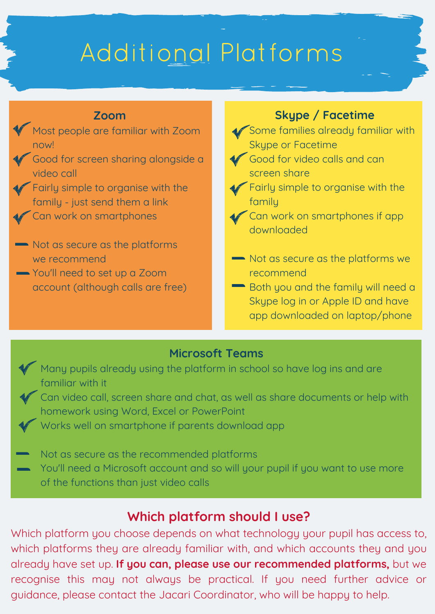### Additional Platforms

#### **Zoom**

- Most people are familiar with Zoom now!
- Good for screen sharing alongside a video call
- Fairly simple to organise with the family - just send them a link
- Can work on smartphones
- Not as secure as the platforms we recommend
- You'll need to set up a Zoom account (although calls are free)

### **Skype / Facetime**

- Some families already familiar with Skype or Facetime
- Good for video calls and can screen share
- Fairly simple to organise with the family
- Can work on smartphones if app downloaded
- Not as secure as the platforms we recommend
- Both you and the family will need a Skype log in or Apple ID and have app downloaded on laptop/phone

#### **Microsoft Teams**

- Many pupils already using the platform in school so have log ins and are familiar with it
	- Can video call, screen share and chat, as well as share documents or help with homework using Word, Excel or PowerPoint
	- Works well on smartphone if parents download app

Not as secure as the recommended platforms

You'll need a Microsoft account and so will your pupil if you want to use more of the functions than just video calls

### **Which platform should I use?**

Which platform you choose depends on what technology your pupil has access to, which platforms they are already familiar with, and which accounts they and you already have set up. **If you can, please use our recommended platforms,** but we recognise this may not always be practical. If you need further advice or guidance, please contact the Jacari Coordinator, who will be happy to help.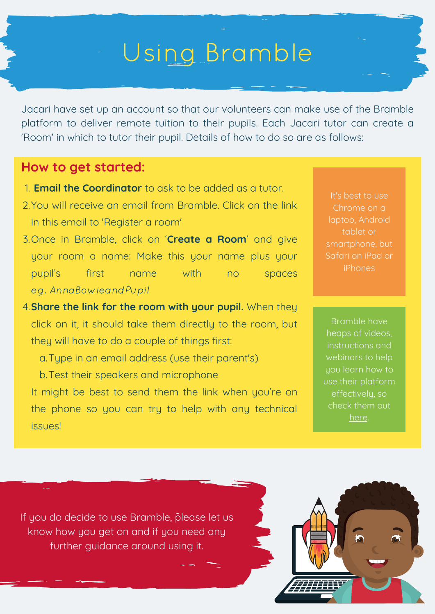### Using Bramble

Jacari have set up an account so that our volunteers can make use of the Bramble platform to deliver remote tuition to their pupils. Each Jacari tutor can create a 'Room' in which to tutor their pupil. Details of how to do so are as follows:

### **How to get started:**

- **Email the Coordinator** to ask to be added as a tutor. 1.
- 2. You will receive an email from Bramble. Click on the link in this email to 'Register a room'
- Once in Bramble, click on '**Create a Room**' and give 3. your room a name: Make this your name plus your pupil's first name with no spaces eg. AnnaBowieandPupil
- **Share the link for the room with your pupil.** When they 4. click on it, it should take them directly to the room, but they will have to do a couple of things first:
	- Type in an email address (use their parent's) a.
	- b. Test their speakers and microphone

It might be best to send them the link when you're on the phone so you can try to help with any technical issues!

It's best to use laptop, Android tablet or smartphone, but Safari on iPad or iPhones

Bramble have heaps of videos, instructions and webinars to help use their platform effectively, so check them out [here](https://about.bramble.io/help/help-home.html).

If you do decide to use Bramble, please let us know how you get on and if you need any further guidance around using it.

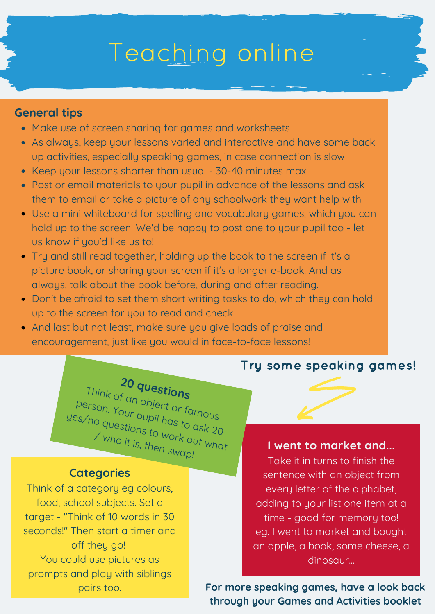### Teaching online

#### **General tips**

- Make use of screen sharing for games and worksheets
- As always, keep your lessons varied and interactive and have some back up activities, especially speaking games, in case connection is slow
- Keep your lessons shorter than usual 30-40 minutes max
- Post or email materials to your pupil in advance of the lessons and ask them to email or take a picture of any schoolwork they want help with
- Use a mini whiteboard for spelling and vocabulary games, which you can hold up to the screen. We'd be happy to post one to your pupil too - let us know if you'd like us to!
- Try and still read together, holding up the book to the screen if it's a picture book, or sharing your screen if it's a longer e-book. And as always, talk about the book before, during and after reading.
- Don't be afraid to set them short writing tasks to do, which they can hold up to the screen for you to read and check
- And last but not least, make sure you give loads of praise and encouragement, just like you would in face-to-face lessons!

### Try some speaking games!

### **<sup>20</sup> questions** Think of an object or famous person. Your pupil has to ask <sup>20</sup> yes/no questions to work out what / who it is, then swap!

#### **Categories**

Think of a category eg colours, food, school subjects. Set a target - "Think of 10 words in 30 seconds!" Then start a timer and off they go! You could use pictures as prompts and play with siblings pairs too.

### **I went to market and...**

Take it in turns to finish the sentence with an object from every letter of the alphabet, adding to your list one item at a time - good for memory too! eg. I went to market and bought an apple, a book, some cheese, a dinosaur...

**For more speaking games, have a look back through your Games and Activities booklet**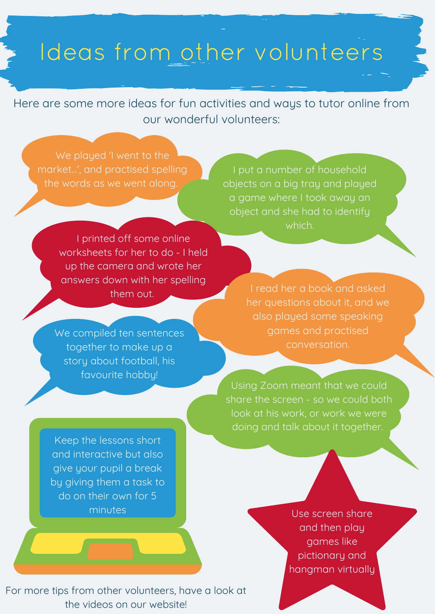### Ideas from other volunteers

Here are some more ideas for fun activities and ways to tutor online from our wonderful volunteers:

We played 'I went to the market...', and practised spelling the words as we went along.

I put a number of household objects on a big tray and played a game where I took away an object and she had to identify which.

I printed off some online worksheets for her to do - I held up the camera and wrote her answers down with her spelling them out.

We compiled ten sentences together to make up a story about football, his favourite hobby!

I read her a book and asked her questions about it, and we also played some speaking games and practised conversation.

Using Zoom meant that we could share the screen - so we could both look at his work, or work we were doing and talk about it together.

Keep the lessons short and interactive but also give your pupil a break by giving them a task to do on their own for 5 minutes

Use screen share and then play games like pictionary and hangman virtually

For more tips from other volunteers, have a look at the videos on our website!